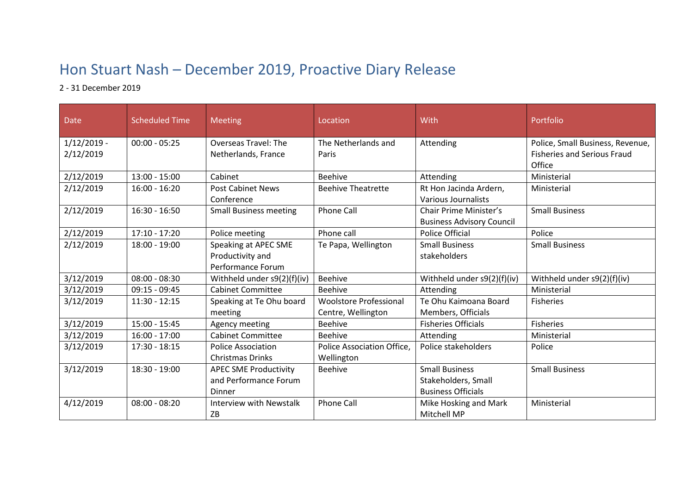## Hon Stuart Nash – December 2019, Proactive Diary Release

## 2 - 31 December 2019

| Date          | <b>Scheduled Time</b> | <b>Meeting</b>                                                       | Location                                            | With                                                                      | Portfolio                                    |
|---------------|-----------------------|----------------------------------------------------------------------|-----------------------------------------------------|---------------------------------------------------------------------------|----------------------------------------------|
| $1/12/2019$ - | $00:00 - 05:25$       | Overseas Travel: The                                                 | The Netherlands and                                 | Attending                                                                 | Police, Small Business, Revenue,             |
| 2/12/2019     |                       | Netherlands, France                                                  | Paris                                               |                                                                           | <b>Fisheries and Serious Fraud</b><br>Office |
| 2/12/2019     | $13:00 - 15:00$       | Cabinet                                                              | <b>Beehive</b>                                      | Attending                                                                 | Ministerial                                  |
| 2/12/2019     | $16:00 - 16:20$       | <b>Post Cabinet News</b><br>Conference                               | <b>Beehive Theatrette</b>                           | Rt Hon Jacinda Ardern,<br>Various Journalists                             | Ministerial                                  |
| 2/12/2019     | $16:30 - 16:50$       | <b>Small Business meeting</b>                                        | <b>Phone Call</b>                                   | Chair Prime Minister's<br><b>Business Advisory Council</b>                | <b>Small Business</b>                        |
| 2/12/2019     | 17:10 - 17:20         | Police meeting                                                       | Phone call                                          | <b>Police Official</b>                                                    | Police                                       |
| 2/12/2019     | 18:00 - 19:00         | Speaking at APEC SME<br>Productivity and<br><b>Performance Forum</b> | Te Papa, Wellington                                 | <b>Small Business</b><br>stakeholders                                     | <b>Small Business</b>                        |
| 3/12/2019     | $08:00 - 08:30$       | Withheld under s9(2)(f)(iv)                                          | <b>Beehive</b>                                      | Withheld under s9(2)(f)(iv)                                               | Withheld under s9(2)(f)(iv)                  |
| 3/12/2019     | $09:15 - 09:45$       | <b>Cabinet Committee</b>                                             | <b>Beehive</b>                                      | Attending                                                                 | Ministerial                                  |
| 3/12/2019     | $11:30 - 12:15$       | Speaking at Te Ohu board<br>meeting                                  | <b>Woolstore Professional</b><br>Centre, Wellington | Te Ohu Kaimoana Board<br>Members, Officials                               | Fisheries                                    |
| 3/12/2019     | $15:00 - 15:45$       | Agency meeting                                                       | <b>Beehive</b>                                      | <b>Fisheries Officials</b>                                                | Fisheries                                    |
| 3/12/2019     | $16:00 - 17:00$       | <b>Cabinet Committee</b>                                             | <b>Beehive</b>                                      | Attending                                                                 | Ministerial                                  |
| 3/12/2019     | $17:30 - 18:15$       | <b>Police Association</b><br><b>Christmas Drinks</b>                 | Police Association Office,<br>Wellington            | Police stakeholders                                                       | Police                                       |
| 3/12/2019     | 18:30 - 19:00         | <b>APEC SME Productivity</b><br>and Performance Forum<br>Dinner      | <b>Beehive</b>                                      | <b>Small Business</b><br>Stakeholders, Small<br><b>Business Officials</b> | <b>Small Business</b>                        |
| 4/12/2019     | $08:00 - 08:20$       | <b>Interview with Newstalk</b><br>ZB                                 | <b>Phone Call</b>                                   | Mike Hosking and Mark<br>Mitchell MP                                      | Ministerial                                  |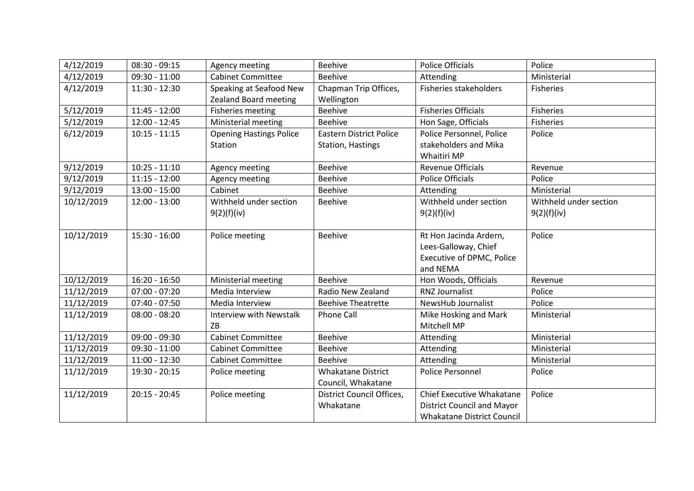| 4/12/2019  | $08:30 - 09:15$ | Agency meeting                 | <b>Beehive</b>                 | <b>Police Officials</b>           | Police                 |
|------------|-----------------|--------------------------------|--------------------------------|-----------------------------------|------------------------|
| 4/12/2019  | $09:30 - 11:00$ | <b>Cabinet Committee</b>       | <b>Beehive</b>                 | Attending                         | Ministerial            |
| 4/12/2019  | 11:30 - 12:30   | Speaking at Seafood New        | Chapman Trip Offices,          | <b>Fisheries stakeholders</b>     | <b>Fisheries</b>       |
|            |                 | <b>Zealand Board meeting</b>   | Wellington                     |                                   |                        |
| 5/12/2019  | 11:45 - 12:00   | <b>Fisheries meeting</b>       | <b>Beehive</b>                 | <b>Fisheries Officials</b>        | Fisheries              |
| 5/12/2019  | $12:00 - 12:45$ | Ministerial meeting            | <b>Beehive</b>                 | Hon Sage, Officials               | <b>Fisheries</b>       |
| 6/12/2019  | $10:15 - 11:15$ | <b>Opening Hastings Police</b> | <b>Eastern District Police</b> | Police Personnel, Police          | Police                 |
|            |                 | Station                        | Station, Hastings              | stakeholders and Mika             |                        |
|            |                 |                                |                                | Whaitiri MP                       |                        |
| 9/12/2019  | $10:25 - 11:10$ | Agency meeting                 | <b>Beehive</b>                 | <b>Revenue Officials</b>          | Revenue                |
| 9/12/2019  | $11:15 - 12:00$ | Agency meeting                 | <b>Beehive</b>                 | <b>Police Officials</b>           | Police                 |
| 9/12/2019  | $13:00 - 15:00$ | Cabinet                        | <b>Beehive</b>                 | Attending                         | Ministerial            |
| 10/12/2019 | $12:00 - 13:00$ | Withheld under section         | <b>Beehive</b>                 | Withheld under section            | Withheld under section |
|            |                 | 9(2)(f)(iv)                    |                                | 9(2)(f)(iv)                       | 9(2)(f)(iv)            |
|            |                 |                                |                                |                                   |                        |
| 10/12/2019 | 15:30 - 16:00   | Police meeting                 | Beehive                        | Rt Hon Jacinda Ardern,            | Police                 |
|            |                 |                                |                                | Lees-Galloway, Chief              |                        |
|            |                 |                                |                                | Executive of DPMC, Police         |                        |
|            |                 |                                |                                | and NEMA                          |                        |
| 10/12/2019 | 16:20 - 16:50   | Ministerial meeting            | <b>Beehive</b>                 | Hon Woods, Officials              | Revenue                |
| 11/12/2019 | $07:00 - 07:20$ | Media Interview                | Radio New Zealand              | <b>RNZ Journalist</b>             | Police                 |
| 11/12/2019 | $07:40 - 07:50$ | Media Interview                | <b>Beehive Theatrette</b>      | NewsHub Journalist                | Police                 |
| 11/12/2019 | $08:00 - 08:20$ | Interview with Newstalk        | <b>Phone Call</b>              | Mike Hosking and Mark             | Ministerial            |
|            |                 | ZB                             |                                | Mitchell MP                       |                        |
| 11/12/2019 | 09:00 - 09:30   | <b>Cabinet Committee</b>       | <b>Beehive</b>                 | Attending                         | Ministerial            |
| 11/12/2019 | $09:30 - 11:00$ | <b>Cabinet Committee</b>       | <b>Beehive</b>                 | Attending                         | Ministerial            |
| 11/12/2019 | $11:00 - 12:30$ | <b>Cabinet Committee</b>       | <b>Beehive</b>                 | Attending                         | Ministerial            |
| 11/12/2019 | 19:30 - 20:15   | Police meeting                 | <b>Whakatane District</b>      | Police Personnel                  | Police                 |
|            |                 |                                | Council, Whakatane             |                                   |                        |
| 11/12/2019 | $20:15 - 20:45$ | Police meeting                 | District Council Offices,      | Chief Executive Whakatane         | Police                 |
|            |                 |                                | Whakatane                      | <b>District Council and Mayor</b> |                        |
|            |                 |                                |                                | <b>Whakatane District Council</b> |                        |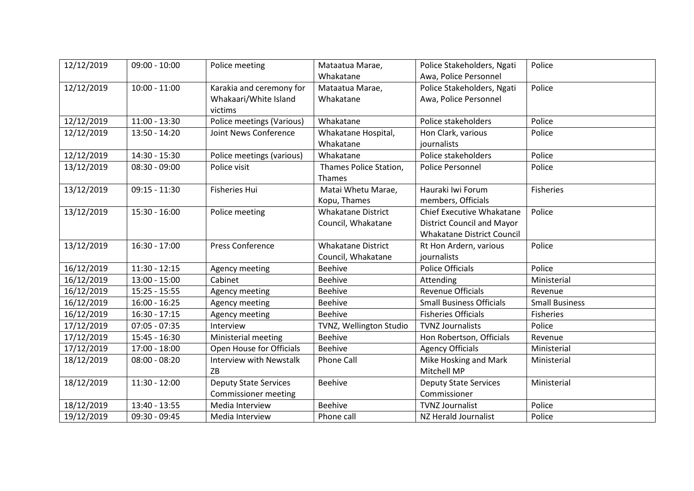| 12/12/2019 | $09:00 - 10:00$ | Police meeting                 | Mataatua Marae,           | Police Stakeholders, Ngati        | Police                |
|------------|-----------------|--------------------------------|---------------------------|-----------------------------------|-----------------------|
|            |                 |                                | Whakatane                 | Awa, Police Personnel             |                       |
| 12/12/2019 | $10:00 - 11:00$ | Karakia and ceremony for       | Mataatua Marae,           | Police Stakeholders, Ngati        | Police                |
|            |                 | Whakaari/White Island          | Whakatane                 | Awa, Police Personnel             |                       |
|            |                 | victims                        |                           |                                   |                       |
| 12/12/2019 | $11:00 - 13:30$ | Police meetings (Various)      | Whakatane                 | Police stakeholders               | Police                |
| 12/12/2019 | 13:50 - 14:20   | Joint News Conference          | Whakatane Hospital,       | Hon Clark, various                | Police                |
|            |                 |                                | Whakatane                 | journalists                       |                       |
| 12/12/2019 | 14:30 - 15:30   | Police meetings (various)      | Whakatane                 | Police stakeholders               | Police                |
| 13/12/2019 | $08:30 - 09:00$ | Police visit                   | Thames Police Station,    | Police Personnel                  | Police                |
|            |                 |                                | Thames                    |                                   |                       |
| 13/12/2019 | $09:15 - 11:30$ | <b>Fisheries Hui</b>           | Matai Whetu Marae,        | Hauraki Iwi Forum                 | <b>Fisheries</b>      |
|            |                 |                                | Kopu, Thames              | members, Officials                |                       |
| 13/12/2019 | $15:30 - 16:00$ | Police meeting                 | <b>Whakatane District</b> | Chief Executive Whakatane         | Police                |
|            |                 |                                | Council, Whakatane        | <b>District Council and Mayor</b> |                       |
|            |                 |                                |                           | <b>Whakatane District Council</b> |                       |
| 13/12/2019 | $16:30 - 17:00$ | <b>Press Conference</b>        | <b>Whakatane District</b> | Rt Hon Ardern, various            | Police                |
|            |                 |                                | Council, Whakatane        | journalists                       |                       |
| 16/12/2019 | $11:30 - 12:15$ | Agency meeting                 | <b>Beehive</b>            | <b>Police Officials</b>           | Police                |
| 16/12/2019 | $13:00 - 15:00$ | Cabinet                        | <b>Beehive</b>            | Attending                         | Ministerial           |
| 16/12/2019 | $15:25 - 15:55$ | Agency meeting                 | <b>Beehive</b>            | <b>Revenue Officials</b>          | Revenue               |
| 16/12/2019 | $16:00 - 16:25$ | Agency meeting                 | <b>Beehive</b>            | <b>Small Business Officials</b>   | <b>Small Business</b> |
| 16/12/2019 | $16:30 - 17:15$ | Agency meeting                 | <b>Beehive</b>            | <b>Fisheries Officials</b>        | <b>Fisheries</b>      |
| 17/12/2019 | $07:05 - 07:35$ | Interview                      | TVNZ, Wellington Studio   | <b>TVNZ Journalists</b>           | Police                |
| 17/12/2019 | 15:45 - 16:30   | Ministerial meeting            | <b>Beehive</b>            | Hon Robertson, Officials          | Revenue               |
| 17/12/2019 | 17:00 - 18:00   | Open House for Officials       | <b>Beehive</b>            | <b>Agency Officials</b>           | Ministerial           |
| 18/12/2019 | $08:00 - 08:20$ | <b>Interview with Newstalk</b> | Phone Call                | Mike Hosking and Mark             | Ministerial           |
|            |                 | ZB                             |                           | Mitchell MP                       |                       |
| 18/12/2019 | $11:30 - 12:00$ | <b>Deputy State Services</b>   | <b>Beehive</b>            | <b>Deputy State Services</b>      | Ministerial           |
|            |                 | <b>Commissioner meeting</b>    |                           | Commissioner                      |                       |
| 18/12/2019 | 13:40 - 13:55   | Media Interview                | <b>Beehive</b>            | <b>TVNZ Journalist</b>            | Police                |
| 19/12/2019 | 09:30 - 09:45   | Media Interview                | Phone call                | NZ Herald Journalist              | Police                |